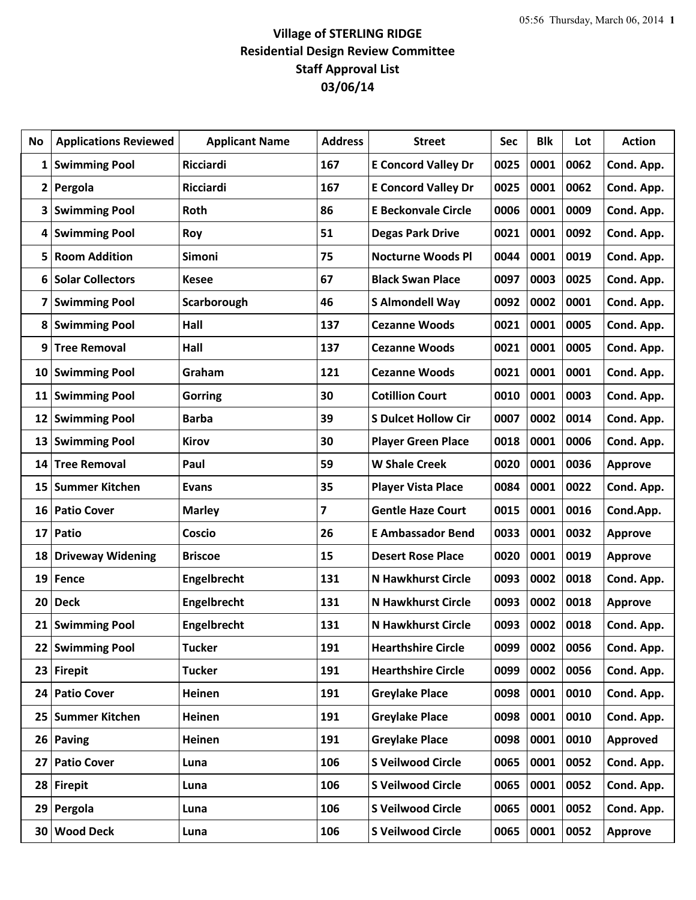## **Village of STERLING RIDGE Residential Design Review Committee Staff Approval List 03/06/14**

| No              | <b>Applications Reviewed</b> | <b>Applicant Name</b> | <b>Address</b> | <b>Street</b>              | Sec  | <b>Blk</b> | Lot  | <b>Action</b>  |
|-----------------|------------------------------|-----------------------|----------------|----------------------------|------|------------|------|----------------|
| 1               | <b>Swimming Pool</b>         | Ricciardi             | 167            | <b>E Concord Valley Dr</b> | 0025 | 0001       | 0062 | Cond. App.     |
| 2               | Pergola                      | Ricciardi             | 167            | <b>E Concord Valley Dr</b> | 0025 | 0001       | 0062 | Cond. App.     |
| 3               | <b>Swimming Pool</b>         | Roth                  | 86             | <b>E Beckonvale Circle</b> | 0006 | 0001       | 0009 | Cond. App.     |
| 4               | <b>Swimming Pool</b>         | Roy                   | 51             | <b>Degas Park Drive</b>    | 0021 | 0001       | 0092 | Cond. App.     |
| 5               | <b>Room Addition</b>         | <b>Simoni</b>         | 75             | <b>Nocturne Woods Pl</b>   | 0044 | 0001       | 0019 | Cond. App.     |
| 6               | <b>Solar Collectors</b>      | <b>Kesee</b>          | 67             | <b>Black Swan Place</b>    | 0097 | 0003       | 0025 | Cond. App.     |
| 7               | <b>Swimming Pool</b>         | Scarborough           | 46             | <b>S Almondell Way</b>     | 0092 | 0002       | 0001 | Cond. App.     |
| 8               | <b>Swimming Pool</b>         | Hall                  | 137            | <b>Cezanne Woods</b>       | 0021 | 0001       | 0005 | Cond. App.     |
| 9               | <b>Tree Removal</b>          | Hall                  | 137            | <b>Cezanne Woods</b>       | 0021 | 0001       | 0005 | Cond. App.     |
| 10              | <b>Swimming Pool</b>         | Graham                | 121            | <b>Cezanne Woods</b>       | 0021 | 0001       | 0001 | Cond. App.     |
| 11              | <b>Swimming Pool</b>         | <b>Gorring</b>        | 30             | <b>Cotillion Court</b>     | 0010 | 0001       | 0003 | Cond. App.     |
| 12              | <b>Swimming Pool</b>         | <b>Barba</b>          | 39             | <b>S Dulcet Hollow Cir</b> | 0007 | 0002       | 0014 | Cond. App.     |
| 13              | <b>Swimming Pool</b>         | <b>Kirov</b>          | 30             | <b>Player Green Place</b>  | 0018 | 0001       | 0006 | Cond. App.     |
| 14              | <b>Tree Removal</b>          | Paul                  | 59             | <b>W Shale Creek</b>       | 0020 | 0001       | 0036 | <b>Approve</b> |
| 15              | <b>Summer Kitchen</b>        | <b>Evans</b>          | 35             | <b>Player Vista Place</b>  | 0084 | 0001       | 0022 | Cond. App.     |
| 16              | <b>Patio Cover</b>           | <b>Marley</b>         | 7              | <b>Gentle Haze Court</b>   | 0015 | 0001       | 0016 | Cond.App.      |
| 17 <sup>1</sup> | Patio                        | Coscio                | 26             | <b>E Ambassador Bend</b>   | 0033 | 0001       | 0032 | <b>Approve</b> |
| 18              | <b>Driveway Widening</b>     | <b>Briscoe</b>        | 15             | <b>Desert Rose Place</b>   | 0020 | 0001       | 0019 | <b>Approve</b> |
| 19              | <b>Fence</b>                 | Engelbrecht           | 131            | <b>N Hawkhurst Circle</b>  | 0093 | 0002       | 0018 | Cond. App.     |
| 20              | <b>Deck</b>                  | Engelbrecht           | 131            | <b>N Hawkhurst Circle</b>  | 0093 | 0002       | 0018 | <b>Approve</b> |
|                 | 21 Swimming Pool             | Engelbrecht           | 131            | <b>N Hawkhurst Circle</b>  | 0093 | 0002       | 0018 | Cond. App.     |
| 22              | <b>Swimming Pool</b>         | <b>Tucker</b>         | 191            | <b>Hearthshire Circle</b>  | 0099 | 0002       | 0056 | Cond. App.     |
| 23              | <b>Firepit</b>               | <b>Tucker</b>         | 191            | <b>Hearthshire Circle</b>  | 0099 | 0002       | 0056 | Cond. App.     |
| 24 <sub>1</sub> | <b>Patio Cover</b>           | Heinen                | 191            | <b>Greylake Place</b>      | 0098 | 0001       | 0010 | Cond. App.     |
| 25              | <b>Summer Kitchen</b>        | Heinen                | 191            | <b>Greylake Place</b>      | 0098 | 0001       | 0010 | Cond. App.     |
| 26 <sup>1</sup> | <b>Paving</b>                | Heinen                | 191            | <b>Greylake Place</b>      | 0098 | 0001       | 0010 | Approved       |
| 27              | <b>Patio Cover</b>           | Luna                  | 106            | <b>S Veilwood Circle</b>   | 0065 | 0001       | 0052 | Cond. App.     |
|                 | 28 Firepit                   | Luna                  | 106            | <b>S Veilwood Circle</b>   | 0065 | 0001       | 0052 | Cond. App.     |
| 29              | Pergola                      | Luna                  | 106            | <b>S Veilwood Circle</b>   | 0065 | 0001       | 0052 | Cond. App.     |
| 30              | <b>Wood Deck</b>             | Luna                  | 106            | <b>S Veilwood Circle</b>   | 0065 | 0001       | 0052 | <b>Approve</b> |